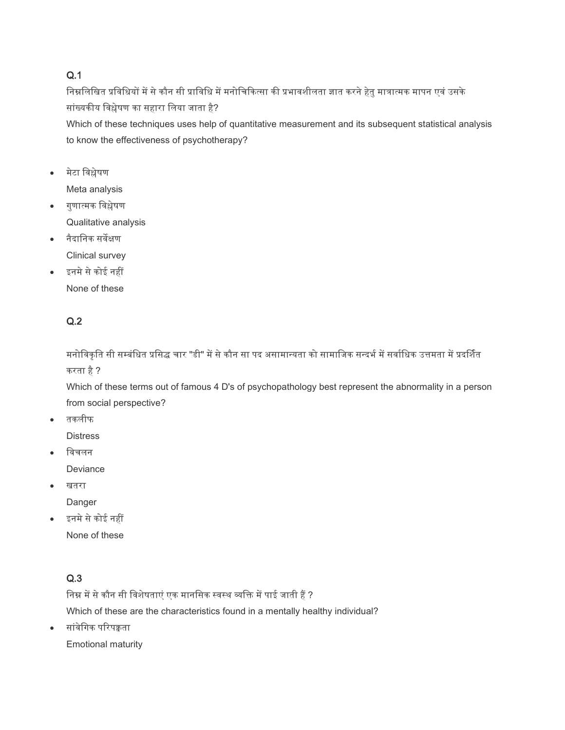### Q.1

निम्नलिखित प्रविधियों में से कौन सी प्राविधि में मनोचिकित्सा की प्रभावशीलता ज्ञात करने हेतु मात्रात्मक मापन एवं उसके सांख्यकीय निश्लेषण का सहारा निया जाता है?

Which of these techniques uses help of quantitative measurement and its subsequent statistical analysis to know the effectiveness of psychotherapy?

- मेटा निश्लेषण Meta analysis
- गुणात्मक निश्लेषण Qualitative analysis
- िैदानिक सिेक्षण Clinical survey
- इनमे से कोई नहीं
	- None of these

# Q.2

मनोविकृति सी सम्बंधित प्रसिद्ध चार "डी" में से कौन सा पद असामान्यता को सामाजिक सन्दर्भ में सर्वाधिक उत्तमता में प्रदर्शित करता है?

Which of these terms out of famous 4 D's of psychopathology best represent the abnormality in a person from social perspective?

तकिीफ

**Distress** 

- विचलन Deviance
- खतरा

Danger

इनमे से कोई नहीं None of these

# Q.3

निम्न में से कौन सी विशेषताएं एक मानसिक स्वस्थ व्यक्ति में पाई जाती हैं ? Which of these are the characteristics found in a mentally healthy individual?

 $\bullet$  सांवेगिक परिपक्वता

Emotional maturity